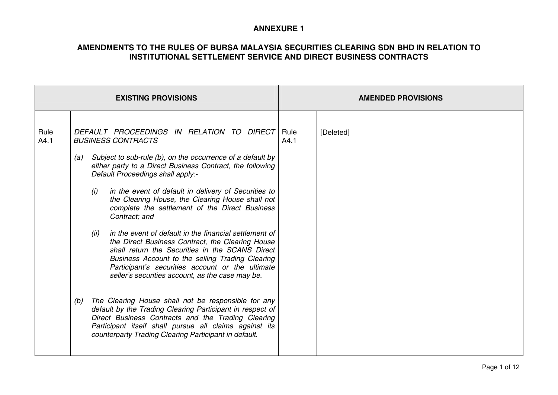|                            |             | <b>EXISTING PROVISIONS</b>                                                                                                                                                                                                                                                                                                                                                                                                                                                                                                                                                                                                                                                                                                                                                                                                                                                                                                                                                                                                                      |              | <b>AMENDED PROVISIONS</b> |
|----------------------------|-------------|-------------------------------------------------------------------------------------------------------------------------------------------------------------------------------------------------------------------------------------------------------------------------------------------------------------------------------------------------------------------------------------------------------------------------------------------------------------------------------------------------------------------------------------------------------------------------------------------------------------------------------------------------------------------------------------------------------------------------------------------------------------------------------------------------------------------------------------------------------------------------------------------------------------------------------------------------------------------------------------------------------------------------------------------------|--------------|---------------------------|
| Rule<br>A4.1<br>(a)<br>(b) | (i)<br>(ii) | DEFAULT PROCEEDINGS IN RELATION TO DIRECT<br><b>BUSINESS CONTRACTS</b><br>Subject to sub-rule (b), on the occurrence of a default by<br>either party to a Direct Business Contract, the following<br>Default Proceedings shall apply:-<br>in the event of default in delivery of Securities to<br>the Clearing House, the Clearing House shall not<br>complete the settlement of the Direct Business<br>Contract; and<br>in the event of default in the financial settlement of<br>the Direct Business Contract, the Clearing House<br>shall return the Securities in the SCANS Direct<br>Business Account to the selling Trading Clearing<br>Participant's securities account or the ultimate<br>seller's securities account, as the case may be.<br>The Clearing House shall not be responsible for any<br>default by the Trading Clearing Participant in respect of<br>Direct Business Contracts and the Trading Clearing<br>Participant itself shall pursue all claims against its<br>counterparty Trading Clearing Participant in default. | Rule<br>A4.1 | [Deleted]                 |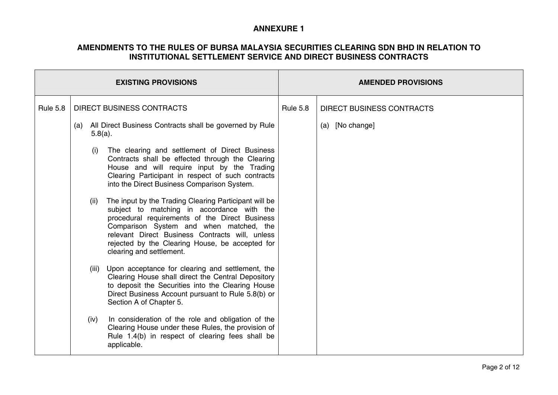| <b>EXISTING PROVISIONS</b> |                                                                                                                                                                                                                                                                                                                                            |      |                                                                                                                                                                                                                                                       | <b>AMENDED PROVISIONS</b>        |  |  |
|----------------------------|--------------------------------------------------------------------------------------------------------------------------------------------------------------------------------------------------------------------------------------------------------------------------------------------------------------------------------------------|------|-------------------------------------------------------------------------------------------------------------------------------------------------------------------------------------------------------------------------------------------------------|----------------------------------|--|--|
| <b>Rule 5.8</b>            | <b>DIRECT BUSINESS CONTRACTS</b>                                                                                                                                                                                                                                                                                                           |      | <b>Rule 5.8</b>                                                                                                                                                                                                                                       | <b>DIRECT BUSINESS CONTRACTS</b> |  |  |
|                            | All Direct Business Contracts shall be governed by Rule<br>(a)<br>$5.8(a)$ .                                                                                                                                                                                                                                                               |      |                                                                                                                                                                                                                                                       | (a) [No change]                  |  |  |
|                            |                                                                                                                                                                                                                                                                                                                                            | (i)  | The clearing and settlement of Direct Business<br>Contracts shall be effected through the Clearing<br>House and will require input by the Trading<br>Clearing Participant in respect of such contracts<br>into the Direct Business Comparison System. |                                  |  |  |
|                            | The input by the Trading Clearing Participant will be<br>(ii)<br>subject to matching in accordance with the<br>procedural requirements of the Direct Business<br>Comparison System and when matched, the<br>relevant Direct Business Contracts will, unless<br>rejected by the Clearing House, be accepted for<br>clearing and settlement. |      |                                                                                                                                                                                                                                                       |                                  |  |  |
|                            |                                                                                                                                                                                                                                                                                                                                            |      | (iii) Upon acceptance for clearing and settlement, the<br>Clearing House shall direct the Central Depository<br>to deposit the Securities into the Clearing House<br>Direct Business Account pursuant to Rule 5.8(b) or<br>Section A of Chapter 5.    |                                  |  |  |
|                            |                                                                                                                                                                                                                                                                                                                                            | (iv) | In consideration of the role and obligation of the<br>Clearing House under these Rules, the provision of<br>Rule 1.4(b) in respect of clearing fees shall be<br>applicable.                                                                           |                                  |  |  |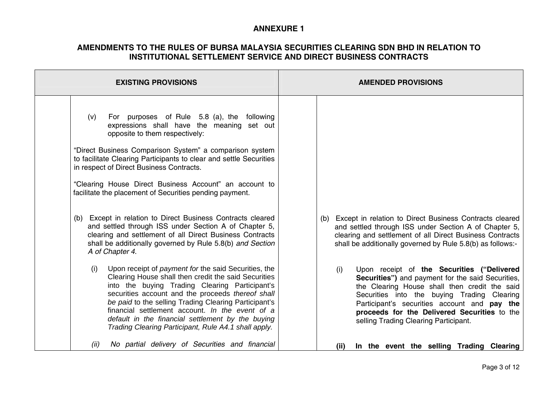| <b>EXISTING PROVISIONS</b>                                                                                                                                                                                                                                                                                                                                                                                                                        | <b>AMENDED PROVISIONS</b>                                                                                                                                                                                                                                                                                                                                |
|---------------------------------------------------------------------------------------------------------------------------------------------------------------------------------------------------------------------------------------------------------------------------------------------------------------------------------------------------------------------------------------------------------------------------------------------------|----------------------------------------------------------------------------------------------------------------------------------------------------------------------------------------------------------------------------------------------------------------------------------------------------------------------------------------------------------|
| For purposes of Rule 5.8 (a), the following<br>(v)<br>expressions shall have the meaning set out<br>opposite to them respectively:<br>"Direct Business Comparison System" a comparison system<br>to facilitate Clearing Participants to clear and settle Securities<br>in respect of Direct Business Contracts.<br>"Clearing House Direct Business Account" an account to<br>facilitate the placement of Securities pending payment.              |                                                                                                                                                                                                                                                                                                                                                          |
| (b) Except in relation to Direct Business Contracts cleared<br>and settled through ISS under Section A of Chapter 5,<br>clearing and settlement of all Direct Business Contracts<br>shall be additionally governed by Rule 5.8(b) and Section<br>A of Chapter 4.<br>Upon receipt of <i>payment for the said Securities</i> , the<br>(i)<br>Clearing House shall then credit the said Securities<br>into the buying Trading Clearing Participant's | (b) Except in relation to Direct Business Contracts cleared<br>and settled through ISS under Section A of Chapter 5,<br>clearing and settlement of all Direct Business Contracts<br>shall be additionally governed by Rule 5.8(b) as follows:-<br>Upon receipt of the Securities ("Delivered<br>(i)<br>Securities") and payment for the said Securities, |
| securities account and the proceeds thereof shall<br>be paid to the selling Trading Clearing Participant's<br>financial settlement account. In the event of a<br>default in the financial settlement by the buying<br>Trading Clearing Participant, Rule A4.1 shall apply.<br>No partial delivery of Securities and financial<br>(ii)                                                                                                             | the Clearing House shall then credit the said<br>Securities into the buying Trading Clearing<br>Participant's securities account and pay the<br>proceeds for the Delivered Securities to the<br>selling Trading Clearing Participant.<br>In the event the selling Trading Clearing<br>(ii)                                                               |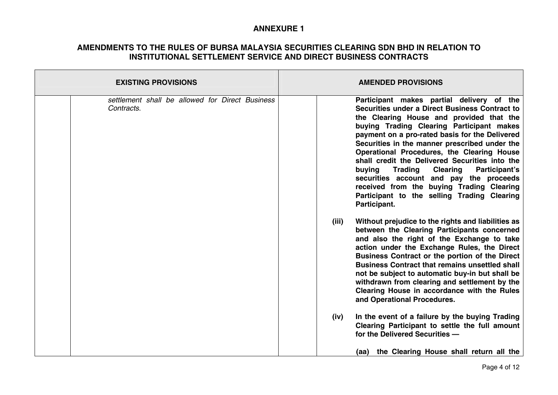| <b>EXISTING PROVISIONS</b>                                    | <b>AMENDED PROVISIONS</b>                                                                                                                                                                                                                                                                                                                                                                                                                                                                                                                                                                                      |  |  |
|---------------------------------------------------------------|----------------------------------------------------------------------------------------------------------------------------------------------------------------------------------------------------------------------------------------------------------------------------------------------------------------------------------------------------------------------------------------------------------------------------------------------------------------------------------------------------------------------------------------------------------------------------------------------------------------|--|--|
| settlement shall be allowed for Direct Business<br>Contracts. | Participant makes partial delivery of the<br>Securities under a Direct Business Contract to<br>the Clearing House and provided that the<br>buying Trading Clearing Participant makes<br>payment on a pro-rated basis for the Delivered<br>Securities in the manner prescribed under the<br>Operational Procedures, the Clearing House<br>shall credit the Delivered Securities into the<br><b>Trading</b><br><b>Clearing</b><br>Participant's<br>buying<br>securities account and pay the proceeds<br>received from the buying Trading Clearing<br>Participant to the selling Trading Clearing<br>Participant. |  |  |
|                                                               | Without prejudice to the rights and liabilities as<br>(iii)<br>between the Clearing Participants concerned<br>and also the right of the Exchange to take<br>action under the Exchange Rules, the Direct<br>Business Contract or the portion of the Direct<br><b>Business Contract that remains unsettled shall</b><br>not be subject to automatic buy-in but shall be<br>withdrawn from clearing and settlement by the<br>Clearing House in accordance with the Rules<br>and Operational Procedures.                                                                                                           |  |  |
|                                                               | In the event of a failure by the buying Trading<br>(iv)<br>Clearing Participant to settle the full amount<br>for the Delivered Securities -<br>(aa) the Clearing House shall return all the                                                                                                                                                                                                                                                                                                                                                                                                                    |  |  |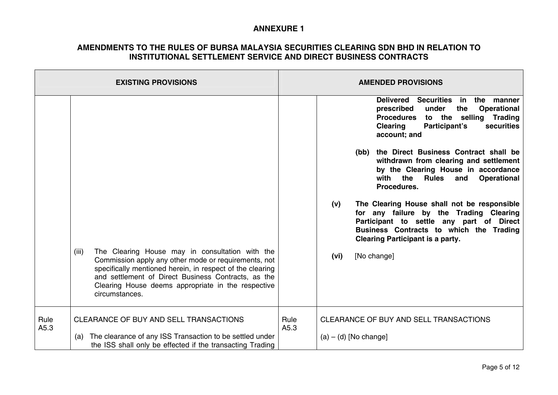|              | <b>EXISTING PROVISIONS</b>                                                                                                                                                                                                                                                                                   |              | <b>AMENDED PROVISIONS</b>                                                                                                                                                                                                       |
|--------------|--------------------------------------------------------------------------------------------------------------------------------------------------------------------------------------------------------------------------------------------------------------------------------------------------------------|--------------|---------------------------------------------------------------------------------------------------------------------------------------------------------------------------------------------------------------------------------|
|              |                                                                                                                                                                                                                                                                                                              |              | <b>Delivered</b><br>Securities in the manner<br><b>Operational</b><br>prescribed<br>under<br>the<br>to the selling<br><b>Procedures</b><br>Trading<br>securities<br><b>Clearing</b><br>Participant's<br>account; and            |
|              |                                                                                                                                                                                                                                                                                                              |              | the Direct Business Contract shall be<br>(bb)<br>withdrawn from clearing and settlement<br>by the Clearing House in accordance<br>the<br>with<br><b>Rules</b><br><b>Operational</b><br>and<br>Procedures.                       |
|              |                                                                                                                                                                                                                                                                                                              |              | The Clearing House shall not be responsible<br>(v)<br>for any failure by the Trading Clearing<br>Participant to settle any part of Direct<br>Business Contracts to which the Trading<br><b>Clearing Participant is a party.</b> |
|              | The Clearing House may in consultation with the<br>(iii)<br>Commission apply any other mode or requirements, not<br>specifically mentioned herein, in respect of the clearing<br>and settlement of Direct Business Contracts, as the<br>Clearing House deems appropriate in the respective<br>circumstances. |              | [No change]<br>(vi)                                                                                                                                                                                                             |
| Rule<br>A5.3 | CLEARANCE OF BUY AND SELL TRANSACTIONS<br>The clearance of any ISS Transaction to be settled under<br>(a)                                                                                                                                                                                                    | Rule<br>A5.3 | CLEARANCE OF BUY AND SELL TRANSACTIONS<br>$(a) - (d)$ [No change]                                                                                                                                                               |
|              | the ISS shall only be effected if the transacting Trading                                                                                                                                                                                                                                                    |              |                                                                                                                                                                                                                                 |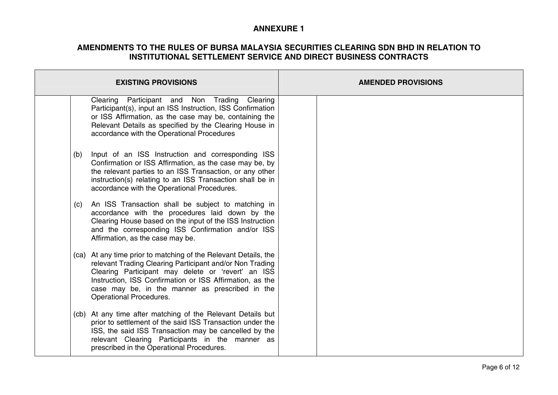| <b>EXISTING PROVISIONS</b>                                                                                                                                                                                                                                                                                                         | <b>AMENDED PROVISIONS</b> |
|------------------------------------------------------------------------------------------------------------------------------------------------------------------------------------------------------------------------------------------------------------------------------------------------------------------------------------|---------------------------|
| Clearing Participant and Non Trading Clearing<br>Participant(s), input an ISS Instruction, ISS Confirmation<br>or ISS Affirmation, as the case may be, containing the<br>Relevant Details as specified by the Clearing House in<br>accordance with the Operational Procedures                                                      |                           |
| Input of an ISS Instruction and corresponding ISS<br>(b)<br>Confirmation or ISS Affirmation, as the case may be, by<br>the relevant parties to an ISS Transaction, or any other<br>instruction(s) relating to an ISS Transaction shall be in<br>accordance with the Operational Procedures.                                        |                           |
| An ISS Transaction shall be subject to matching in<br>(c)<br>accordance with the procedures laid down by the<br>Clearing House based on the input of the ISS Instruction<br>and the corresponding ISS Confirmation and/or ISS<br>Affirmation, as the case may be.                                                                  |                           |
| (ca) At any time prior to matching of the Relevant Details, the<br>relevant Trading Clearing Participant and/or Non Trading<br>Clearing Participant may delete or 'revert' an ISS<br>Instruction, ISS Confirmation or ISS Affirmation, as the<br>case may be, in the manner as prescribed in the<br><b>Operational Procedures.</b> |                           |
| (cb) At any time after matching of the Relevant Details but<br>prior to settlement of the said ISS Transaction under the<br>ISS, the said ISS Transaction may be cancelled by the<br>relevant Clearing Participants in the manner as<br>prescribed in the Operational Procedures.                                                  |                           |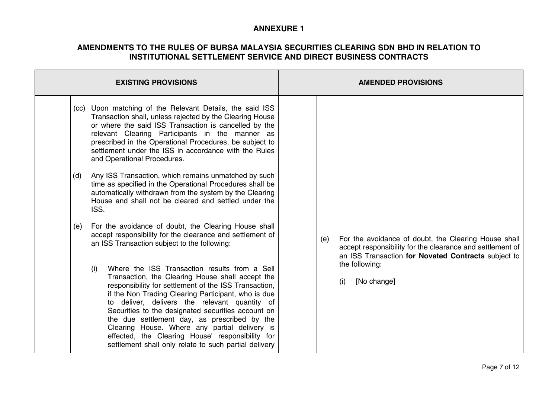| <b>EXISTING PROVISIONS</b>                                                                                                                                                                                                                                                                                                                                                                                                                                                                                                                                                                                                                                                                                                                                                                                                                                                                                                                                                                                                                                                                                                                                                                                                                                                                                                                                             | <b>AMENDED PROVISIONS</b>                                                                                                                                                                                               |
|------------------------------------------------------------------------------------------------------------------------------------------------------------------------------------------------------------------------------------------------------------------------------------------------------------------------------------------------------------------------------------------------------------------------------------------------------------------------------------------------------------------------------------------------------------------------------------------------------------------------------------------------------------------------------------------------------------------------------------------------------------------------------------------------------------------------------------------------------------------------------------------------------------------------------------------------------------------------------------------------------------------------------------------------------------------------------------------------------------------------------------------------------------------------------------------------------------------------------------------------------------------------------------------------------------------------------------------------------------------------|-------------------------------------------------------------------------------------------------------------------------------------------------------------------------------------------------------------------------|
| (cc) Upon matching of the Relevant Details, the said ISS<br>Transaction shall, unless rejected by the Clearing House<br>or where the said ISS Transaction is cancelled by the<br>relevant Clearing Participants in the manner as<br>prescribed in the Operational Procedures, be subject to<br>settlement under the ISS in accordance with the Rules<br>and Operational Procedures.<br>Any ISS Transaction, which remains unmatched by such<br>(d)<br>time as specified in the Operational Procedures shall be<br>automatically withdrawn from the system by the Clearing<br>House and shall not be cleared and settled under the<br>ISS.<br>For the avoidance of doubt, the Clearing House shall<br>(e)<br>accept responsibility for the clearance and settlement of<br>an ISS Transaction subject to the following:<br>Where the ISS Transaction results from a Sell<br>(i)<br>Transaction, the Clearing House shall accept the<br>responsibility for settlement of the ISS Transaction,<br>if the Non Trading Clearing Participant, who is due<br>to deliver, delivers the relevant quantity of<br>Securities to the designated securities account on<br>the due settlement day, as prescribed by the<br>Clearing House. Where any partial delivery is<br>effected, the Clearing House' responsibility for<br>settlement shall only relate to such partial delivery | For the avoidance of doubt, the Clearing House shall<br>(e)<br>accept responsibility for the clearance and settlement of<br>an ISS Transaction for Novated Contracts subject to<br>the following:<br>[No change]<br>(i) |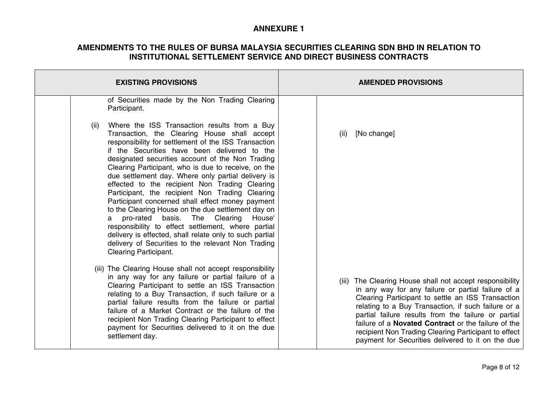| <b>EXISTING PROVISIONS</b>                                                                                                                                                                                                                                                                                                                                                                                                                                                                                                                                                                                                                                                                                                                                                                                                                                | <b>AMENDED PROVISIONS</b>                                                                                                                                                                                                                                                                                                                                                                                                                                    |
|-----------------------------------------------------------------------------------------------------------------------------------------------------------------------------------------------------------------------------------------------------------------------------------------------------------------------------------------------------------------------------------------------------------------------------------------------------------------------------------------------------------------------------------------------------------------------------------------------------------------------------------------------------------------------------------------------------------------------------------------------------------------------------------------------------------------------------------------------------------|--------------------------------------------------------------------------------------------------------------------------------------------------------------------------------------------------------------------------------------------------------------------------------------------------------------------------------------------------------------------------------------------------------------------------------------------------------------|
| of Securities made by the Non Trading Clearing<br>Participant.                                                                                                                                                                                                                                                                                                                                                                                                                                                                                                                                                                                                                                                                                                                                                                                            |                                                                                                                                                                                                                                                                                                                                                                                                                                                              |
| Where the ISS Transaction results from a Buy<br>(ii)<br>Transaction, the Clearing House shall accept<br>responsibility for settlement of the ISS Transaction<br>if the Securities have been delivered to the<br>designated securities account of the Non Trading<br>Clearing Participant, who is due to receive, on the<br>due settlement day. Where only partial delivery is<br>effected to the recipient Non Trading Clearing<br>Participant, the recipient Non Trading Clearing<br>Participant concerned shall effect money payment<br>to the Clearing House on the due settlement day on<br>Clearing House'<br>pro-rated<br>basis.<br>The<br>a<br>responsibility to effect settlement, where partial<br>delivery is effected, shall relate only to such partial<br>delivery of Securities to the relevant Non Trading<br><b>Clearing Participant.</b> | [No change]<br>(ii)                                                                                                                                                                                                                                                                                                                                                                                                                                          |
| (iii) The Clearing House shall not accept responsibility<br>in any way for any failure or partial failure of a<br>Clearing Participant to settle an ISS Transaction<br>relating to a Buy Transaction, if such failure or a<br>partial failure results from the failure or partial<br>failure of a Market Contract or the failure of the<br>recipient Non Trading Clearing Participant to effect<br>payment for Securities delivered to it on the due<br>settlement day.                                                                                                                                                                                                                                                                                                                                                                                   | (iii) The Clearing House shall not accept responsibility<br>in any way for any failure or partial failure of a<br>Clearing Participant to settle an ISS Transaction<br>relating to a Buy Transaction, if such failure or a<br>partial failure results from the failure or partial<br>failure of a <b>Novated Contract</b> or the failure of the<br>recipient Non Trading Clearing Participant to effect<br>payment for Securities delivered to it on the due |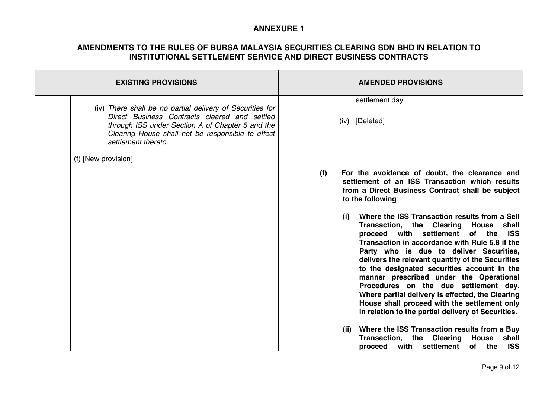| <b>EXISTING PROVISIONS</b>                                                                                                                                                                                                                 | <b>AMENDED PROVISIONS</b>                                                                                                                                                                                                                                                                                                                                                                                                                                                                                                                                                                                                                                                                                                                                                                                                                                                                                            |
|--------------------------------------------------------------------------------------------------------------------------------------------------------------------------------------------------------------------------------------------|----------------------------------------------------------------------------------------------------------------------------------------------------------------------------------------------------------------------------------------------------------------------------------------------------------------------------------------------------------------------------------------------------------------------------------------------------------------------------------------------------------------------------------------------------------------------------------------------------------------------------------------------------------------------------------------------------------------------------------------------------------------------------------------------------------------------------------------------------------------------------------------------------------------------|
| (iv) There shall be no partial delivery of Securities for<br>Direct Business Contracts cleared and settled<br>through ISS under Section A of Chapter 5 and the<br>Clearing House shall not be responsible to effect<br>settlement thereto. | settlement day.<br>(iv) [Deleted]                                                                                                                                                                                                                                                                                                                                                                                                                                                                                                                                                                                                                                                                                                                                                                                                                                                                                    |
| (f) [New provision]                                                                                                                                                                                                                        | For the avoidance of doubt, the clearance and<br>(f)<br>settlement of an ISS Transaction which results<br>from a Direct Business Contract shall be subject<br>to the following:<br>Where the ISS Transaction results from a Sell<br>(i)<br>Transaction, the Clearing House shall<br>proceed with settlement of the ISS<br>Transaction in accordance with Rule 5.8 if the<br>Party who is due to deliver Securities,<br>delivers the relevant quantity of the Securities<br>to the designated securities account in the<br>manner prescribed under the Operational<br>Procedures on the due settlement day.<br>Where partial delivery is effected, the Clearing<br>House shall proceed with the settlement only<br>in relation to the partial delivery of Securities.<br>Where the ISS Transaction results from a Buy<br>(ii)<br>Transaction, the Clearing House<br>shall<br>with settlement<br>of the ISS<br>proceed |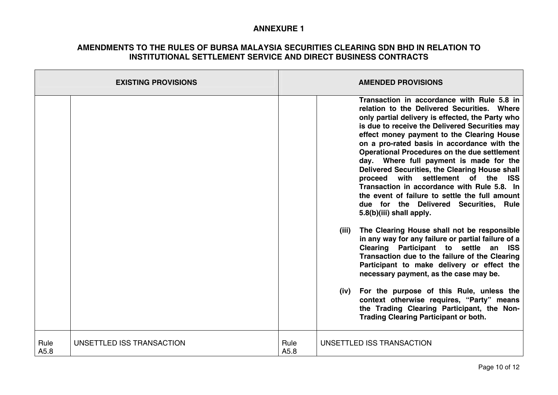|              | <b>EXISTING PROVISIONS</b> |              |               | <b>AMENDED PROVISIONS</b>                                                                                                                                                                                                                                                                                                                                                                                                                                                                                                                                                                                                                                        |
|--------------|----------------------------|--------------|---------------|------------------------------------------------------------------------------------------------------------------------------------------------------------------------------------------------------------------------------------------------------------------------------------------------------------------------------------------------------------------------------------------------------------------------------------------------------------------------------------------------------------------------------------------------------------------------------------------------------------------------------------------------------------------|
|              |                            |              |               | Transaction in accordance with Rule 5.8 in<br>relation to the Delivered Securities. Where<br>only partial delivery is effected, the Party who<br>is due to receive the Delivered Securities may<br>effect money payment to the Clearing House<br>on a pro-rated basis in accordance with the<br><b>Operational Procedures on the due settlement</b><br>day. Where full payment is made for the<br>Delivered Securities, the Clearing House shall<br>with settlement of the ISS<br>proceed<br>Transaction in accordance with Rule 5.8. In<br>the event of failure to settle the full amount<br>due for the Delivered Securities, Rule<br>5.8(b)(iii) shall apply. |
|              |                            |              | (iii)<br>(iv) | The Clearing House shall not be responsible<br>in any way for any failure or partial failure of a<br>Clearing Participant to settle an ISS<br>Transaction due to the failure of the Clearing<br>Participant to make delivery or effect the<br>necessary payment, as the case may be.<br>For the purpose of this Rule, unless the<br>context otherwise requires, "Party" means<br>the Trading Clearing Participant, the Non-<br><b>Trading Clearing Participant or both.</b>                                                                                                                                                                                      |
| Rule<br>A5.8 | UNSETTLED ISS TRANSACTION  | Rule<br>A5.8 |               | UNSETTLED ISS TRANSACTION                                                                                                                                                                                                                                                                                                                                                                                                                                                                                                                                                                                                                                        |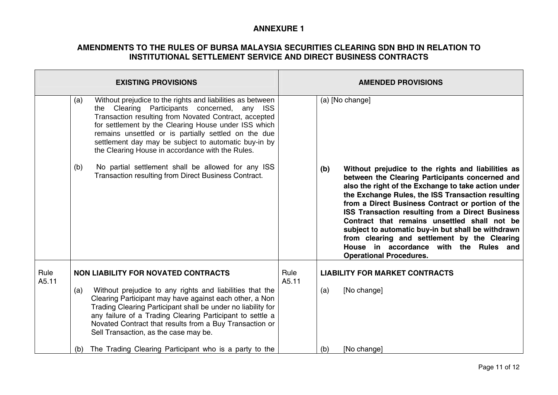| <b>EXISTING PROVISIONS</b> |            |                                                                                                                                                                                                                                                                                                                                                                                                                                                                                                                            | <b>AMENDED PROVISIONS</b> |     |                                                                                                                                                                                                                                                                                                                                                                                                                                                                                                                                                                                 |  |
|----------------------------|------------|----------------------------------------------------------------------------------------------------------------------------------------------------------------------------------------------------------------------------------------------------------------------------------------------------------------------------------------------------------------------------------------------------------------------------------------------------------------------------------------------------------------------------|---------------------------|-----|---------------------------------------------------------------------------------------------------------------------------------------------------------------------------------------------------------------------------------------------------------------------------------------------------------------------------------------------------------------------------------------------------------------------------------------------------------------------------------------------------------------------------------------------------------------------------------|--|
|                            | (a)<br>(b) | Without prejudice to the rights and liabilities as between<br>the Clearing Participants concerned,<br>any<br><b>ISS</b><br>Transaction resulting from Novated Contract, accepted<br>for settlement by the Clearing House under ISS which<br>remains unsettled or is partially settled on the due<br>settlement day may be subject to automatic buy-in by<br>the Clearing House in accordance with the Rules.<br>No partial settlement shall be allowed for any ISS<br>Transaction resulting from Direct Business Contract. |                           | (b) | (a) [No change]<br>Without prejudice to the rights and liabilities as<br>between the Clearing Participants concerned and<br>also the right of the Exchange to take action under<br>the Exchange Rules, the ISS Transaction resulting<br>from a Direct Business Contract or portion of the<br>ISS Transaction resulting from a Direct Business<br>Contract that remains unsettled shall not be<br>subject to automatic buy-in but shall be withdrawn<br>from clearing and settlement by the Clearing<br>House in accordance with the Rules and<br><b>Operational Procedures.</b> |  |
| Rule<br>A5.11              |            | <b>NON LIABILITY FOR NOVATED CONTRACTS</b>                                                                                                                                                                                                                                                                                                                                                                                                                                                                                 | Rule<br>A5.11             |     | <b>LIABILITY FOR MARKET CONTRACTS</b>                                                                                                                                                                                                                                                                                                                                                                                                                                                                                                                                           |  |
|                            | (a)        | Without prejudice to any rights and liabilities that the<br>Clearing Participant may have against each other, a Non<br>Trading Clearing Participant shall be under no liability for<br>any failure of a Trading Clearing Participant to settle a<br>Novated Contract that results from a Buy Transaction or<br>Sell Transaction, as the case may be.                                                                                                                                                                       |                           | (a) | [No change]                                                                                                                                                                                                                                                                                                                                                                                                                                                                                                                                                                     |  |
|                            | (b)        | The Trading Clearing Participant who is a party to the                                                                                                                                                                                                                                                                                                                                                                                                                                                                     |                           | (b) | [No change]                                                                                                                                                                                                                                                                                                                                                                                                                                                                                                                                                                     |  |